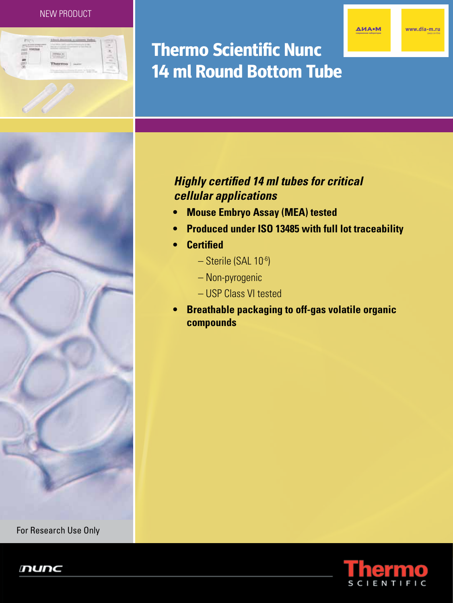#### NEW PRODUCT

**ДИА•М** 

www.dia-m.ru



# **Thermo Scientific Nunc 14 ml Round Bottom Tube**



## *Highly certified 14 ml tubes for critical cellular applications*

- **• Mouse Embryo Assay (MEA) tested**
- **• Produced under ISO 13485 with full lot traceability**
- **• Certified**
	- Sterile (SAL 10-6)
	- Non-pyrogenic
	- USP Class VI tested
- **• Breathable packaging to off-gas volatile organic compounds**



For Research Use Only